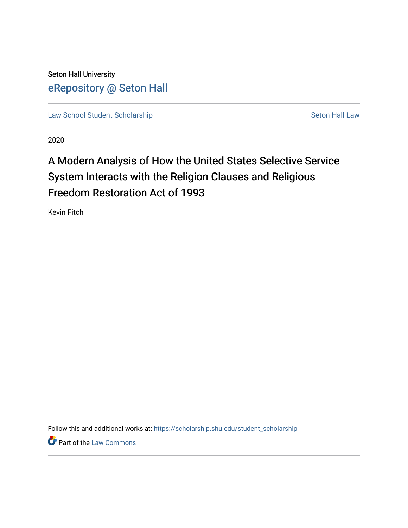Seton Hall University [eRepository @ Seton Hall](https://scholarship.shu.edu/)

[Law School Student Scholarship](https://scholarship.shu.edu/student_scholarship) Seton Hall Law

2020

# A Modern Analysis of How the United States Selective Service System Interacts with the Religion Clauses and Religious Freedom Restoration Act of 1993

Kevin Fitch

Follow this and additional works at: [https://scholarship.shu.edu/student\\_scholarship](https://scholarship.shu.edu/student_scholarship?utm_source=scholarship.shu.edu%2Fstudent_scholarship%2F1100&utm_medium=PDF&utm_campaign=PDFCoverPages) 

**Part of the [Law Commons](http://network.bepress.com/hgg/discipline/578?utm_source=scholarship.shu.edu%2Fstudent_scholarship%2F1100&utm_medium=PDF&utm_campaign=PDFCoverPages)**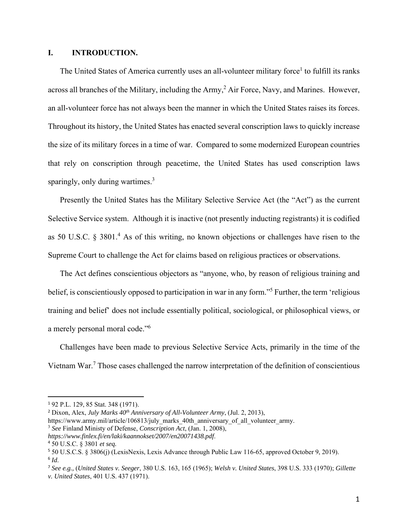## **I. INTRODUCTION.**

The United States of America currently uses an all-volunteer military force<sup>1</sup> to fulfill its ranks across all branches of the Military, including the Army, $<sup>2</sup>$  Air Force, Navy, and Marines. However,</sup> an all-volunteer force has not always been the manner in which the United States raises its forces. Throughout its history, the United States has enacted several conscription laws to quickly increase the size of its military forces in a time of war. Compared to some modernized European countries that rely on conscription through peacetime, the United States has used conscription laws sparingly, only during wartimes.<sup>3</sup>

Presently the United States has the Military Selective Service Act (the "Act") as the current Selective Service system. Although it is inactive (not presently inducting registrants) it is codified as 50 U.S.C.  $\S 3801.4$  As of this writing, no known objections or challenges have risen to the Supreme Court to challenge the Act for claims based on religious practices or observations.

The Act defines conscientious objectors as "anyone, who, by reason of religious training and belief, is conscientiously opposed to participation in war in any form."<sup>5</sup> Further, the term 'religious training and belief' does not include essentially political, sociological, or philosophical views, or a merely personal moral code."6

Challenges have been made to previous Selective Service Acts, primarily in the time of the Vietnam War.<sup>7</sup> Those cases challenged the narrow interpretation of the definition of conscientious

https://www.army.mil/article/106813/july\_marks\_40th\_anniversary\_of\_all\_volunteer\_army.

<sup>1</sup> 92 P.L. 129, 85 Stat. 348 (1971).

<sup>&</sup>lt;sup>2</sup> Dixon, Alex, *July Marks 40<sup>th</sup> Anniversary of All-Volunteer Army*, (Jul. 2, 2013),

<sup>3</sup> *See* Finland Ministy of Defense, *Conscription Act*, (Jan. 1, 2008),

*https://www.finlex.fi/en/laki/kaannokset/2007/en20071438.pdf*.

<sup>4</sup> 50 U.S.C. § 3801 *et seq.*

<sup>5</sup> 50 U.S.C.S. § 3806(j) (LexisNexis, Lexis Advance through Public Law 116-65, approved October 9, 2019).  $6$   $Id$ .

<sup>7</sup> *See e.g.,* (*United States v. Seeger*, 380 U.S. 163, 165 (1965); *Welsh v. United States*, 398 U.S. 333 (1970); *Gillette v. United States*, 401 U.S. 437 (1971).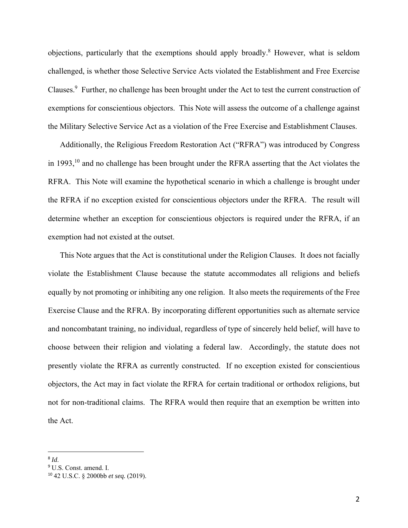objections, particularly that the exemptions should apply broadly.<sup>8</sup> However, what is seldom challenged, is whether those Selective Service Acts violated the Establishment and Free Exercise Clauses.<sup>9</sup> Further, no challenge has been brought under the Act to test the current construction of exemptions for conscientious objectors. This Note will assess the outcome of a challenge against the Military Selective Service Act as a violation of the Free Exercise and Establishment Clauses.

Additionally, the Religious Freedom Restoration Act ("RFRA") was introduced by Congress in 1993, $10$  and no challenge has been brought under the RFRA asserting that the Act violates the RFRA. This Note will examine the hypothetical scenario in which a challenge is brought under the RFRA if no exception existed for conscientious objectors under the RFRA. The result will determine whether an exception for conscientious objectors is required under the RFRA, if an exemption had not existed at the outset.

This Note argues that the Act is constitutional under the Religion Clauses. It does not facially violate the Establishment Clause because the statute accommodates all religions and beliefs equally by not promoting or inhibiting any one religion. It also meets the requirements of the Free Exercise Clause and the RFRA. By incorporating different opportunities such as alternate service and noncombatant training, no individual, regardless of type of sincerely held belief, will have to choose between their religion and violating a federal law. Accordingly, the statute does not presently violate the RFRA as currently constructed. If no exception existed for conscientious objectors, the Act may in fact violate the RFRA for certain traditional or orthodox religions, but not for non-traditional claims. The RFRA would then require that an exemption be written into the Act.

 $8$   $Id.$ 

<sup>9</sup> U.S. Const. amend. I.

<sup>10</sup> 42 U.S.C. § 2000bb *et seq.* (2019).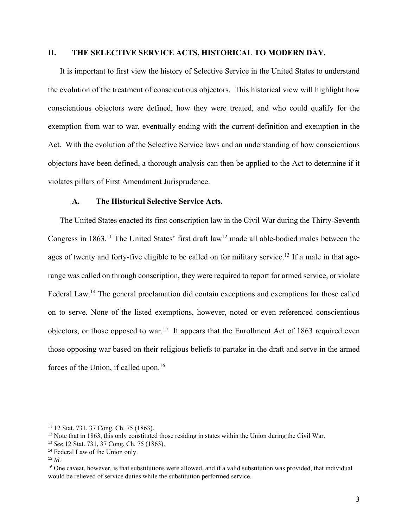## **II. THE SELECTIVE SERVICE ACTS, HISTORICAL TO MODERN DAY.**

It is important to first view the history of Selective Service in the United States to understand the evolution of the treatment of conscientious objectors. This historical view will highlight how conscientious objectors were defined, how they were treated, and who could qualify for the exemption from war to war, eventually ending with the current definition and exemption in the Act. With the evolution of the Selective Service laws and an understanding of how conscientious objectors have been defined, a thorough analysis can then be applied to the Act to determine if it violates pillars of First Amendment Jurisprudence.

#### **A. The Historical Selective Service Acts.**

The United States enacted its first conscription law in the Civil War during the Thirty-Seventh Congress in 1863.<sup>11</sup> The United States' first draft law<sup>12</sup> made all able-bodied males between the ages of twenty and forty-five eligible to be called on for military service.<sup>13</sup> If a male in that agerange was called on through conscription, they were required to report for armed service, or violate Federal Law.<sup>14</sup> The general proclamation did contain exceptions and exemptions for those called on to serve. None of the listed exemptions, however, noted or even referenced conscientious objectors, or those opposed to war.<sup>15</sup> It appears that the Enrollment Act of 1863 required even those opposing war based on their religious beliefs to partake in the draft and serve in the armed forces of the Union, if called upon.<sup>16</sup>

<sup>11 12</sup> Stat. 731, 37 Cong. Ch. 75 (1863).

<sup>&</sup>lt;sup>12</sup> Note that in 1863, this only constituted those residing in states within the Union during the Civil War.

<sup>13</sup> *See* 12 Stat. 731, 37 Cong. Ch. 75 (1863).

<sup>&</sup>lt;sup>14</sup> Federal Law of the Union only.

 $15$  *Id.* 

<sup>&</sup>lt;sup>16</sup> One caveat, however, is that substitutions were allowed, and if a valid substitution was provided, that individual would be relieved of service duties while the substitution performed service.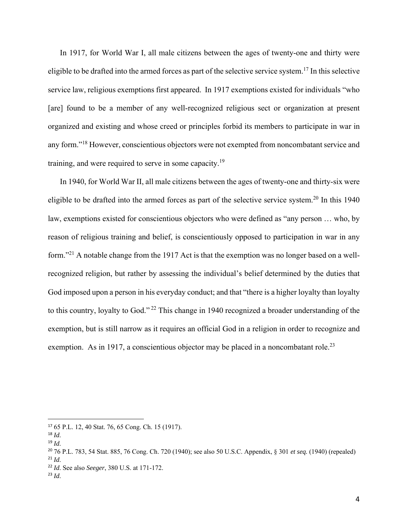In 1917, for World War I, all male citizens between the ages of twenty-one and thirty were eligible to be drafted into the armed forces as part of the selective service system.17 In this selective service law, religious exemptions first appeared. In 1917 exemptions existed for individuals "who [are] found to be a member of any well-recognized religious sect or organization at present organized and existing and whose creed or principles forbid its members to participate in war in any form."18 However, conscientious objectors were not exempted from noncombatant service and training, and were required to serve in some capacity.19

In 1940, for World War II, all male citizens between the ages of twenty-one and thirty-six were eligible to be drafted into the armed forces as part of the selective service system.<sup>20</sup> In this 1940 law, exemptions existed for conscientious objectors who were defined as "any person … who, by reason of religious training and belief, is conscientiously opposed to participation in war in any form."21 A notable change from the 1917 Act is that the exemption was no longer based on a wellrecognized religion, but rather by assessing the individual's belief determined by the duties that God imposed upon a person in his everyday conduct; and that "there is a higher loyalty than loyalty to this country, loyalty to God." 22 This change in 1940 recognized a broader understanding of the exemption, but is still narrow as it requires an official God in a religion in order to recognize and exemption. As in 1917, a conscientious objector may be placed in a noncombatant role.<sup>23</sup>

<sup>17</sup> 65 P.L. 12, 40 Stat. 76, 65 Cong. Ch. 15 (1917).

<sup>18</sup> *Id*.

 $19$  *Id.* 

<sup>20</sup> 76 P.L. 783, 54 Stat. 885, 76 Cong. Ch. 720 (1940); see also 50 U.S.C. Appendix, § 301 *et seq.* (1940) (repealed)  $^{21}$  *Id.* 

<sup>22</sup> *Id*. See also *Seeger*, 380 U.S. at 171-172.

<sup>23</sup> *Id*.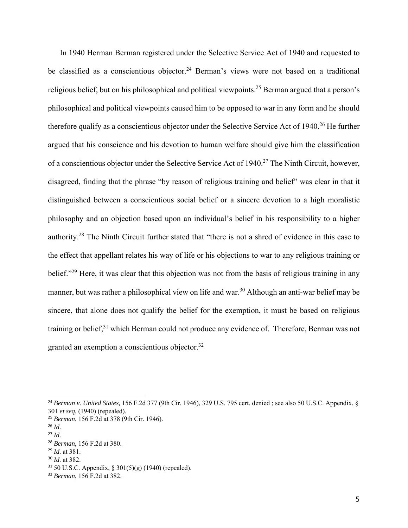In 1940 Herman Berman registered under the Selective Service Act of 1940 and requested to be classified as a conscientious objector.<sup>24</sup> Berman's views were not based on a traditional religious belief, but on his philosophical and political viewpoints.<sup>25</sup> Berman argued that a person's philosophical and political viewpoints caused him to be opposed to war in any form and he should therefore qualify as a conscientious objector under the Selective Service Act of 1940.<sup>26</sup> He further argued that his conscience and his devotion to human welfare should give him the classification of a conscientious objector under the Selective Service Act of 1940.<sup>27</sup> The Ninth Circuit, however, disagreed, finding that the phrase "by reason of religious training and belief" was clear in that it distinguished between a conscientious social belief or a sincere devotion to a high moralistic philosophy and an objection based upon an individual's belief in his responsibility to a higher authority.28 The Ninth Circuit further stated that "there is not a shred of evidence in this case to the effect that appellant relates his way of life or his objections to war to any religious training or belief."<sup>29</sup> Here, it was clear that this objection was not from the basis of religious training in any manner, but was rather a philosophical view on life and war.<sup>30</sup> Although an anti-war belief may be sincere, that alone does not qualify the belief for the exemption, it must be based on religious training or belief,<sup>31</sup> which Berman could not produce any evidence of. Therefore, Berman was not granted an exemption a conscientious objector.32

<sup>24</sup> *Berman v. United States,* 156 F.2d 377 (9th Cir. 1946), 329 U.S. 795 cert. denied ; see also 50 U.S.C. Appendix, § 301 *et seq.* (1940) (repealed).

<sup>25</sup> *Berman*, 156 F.2d at 378 (9th Cir. 1946).

 $^{26}$  *Id.* 

 $^{27}$  *Id.* 

<sup>28</sup> *Berman*, 156 F.2d at 380.

<sup>29</sup> *Id*. at 381.

<sup>30</sup> *Id*. at 382.

 $31\,50\,$  U.S.C. Appendix,  $\S 301(5)(g)$  (1940) (repealed).

<sup>32</sup> *Berman*, 156 F.2d at 382.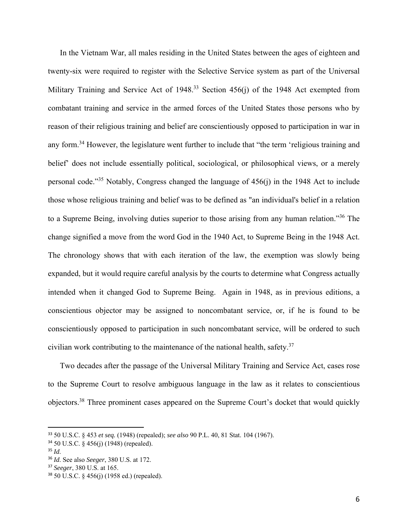In the Vietnam War, all males residing in the United States between the ages of eighteen and twenty-six were required to register with the Selective Service system as part of the Universal Military Training and Service Act of 1948.<sup>33</sup> Section 456(j) of the 1948 Act exempted from combatant training and service in the armed forces of the United States those persons who by reason of their religious training and belief are conscientiously opposed to participation in war in any form.34 However, the legislature went further to include that "the term 'religious training and belief' does not include essentially political, sociological, or philosophical views, or a merely personal code."<sup>35</sup> Notably, Congress changed the language of  $456(i)$  in the 1948 Act to include those whose religious training and belief was to be defined as "an individual's belief in a relation to a Supreme Being, involving duties superior to those arising from any human relation."<sup>36</sup> The change signified a move from the word God in the 1940 Act, to Supreme Being in the 1948 Act. The chronology shows that with each iteration of the law, the exemption was slowly being expanded, but it would require careful analysis by the courts to determine what Congress actually intended when it changed God to Supreme Being. Again in 1948, as in previous editions, a conscientious objector may be assigned to noncombatant service, or, if he is found to be conscientiously opposed to participation in such noncombatant service, will be ordered to such civilian work contributing to the maintenance of the national health, safety.<sup>37</sup>

Two decades after the passage of the Universal Military Training and Service Act, cases rose to the Supreme Court to resolve ambiguous language in the law as it relates to conscientious objectors.38 Three prominent cases appeared on the Supreme Court's docket that would quickly

<sup>33</sup> 50 U.S.C. § 453 *et seq.* (1948) (repealed); *see also* 90 P.L. 40, 81 Stat. 104 (1967).

<sup>34</sup> 50 U.S.C. § 456(j) (1948) (repealed).

<sup>35</sup> *Id*.

<sup>36</sup> *Id*. See also *Seeger*, 380 U.S. at 172.

<sup>37</sup> *Seeger*, 380 U.S. at 165.

<sup>38</sup> 50 U.S.C. § 456(j) (1958 ed.) (repealed).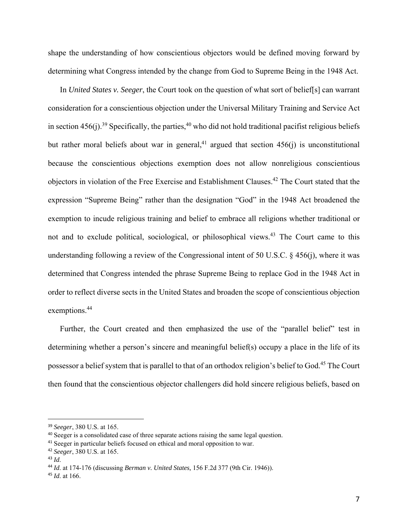shape the understanding of how conscientious objectors would be defined moving forward by determining what Congress intended by the change from God to Supreme Being in the 1948 Act.

In *United States v. Seeger*, the Court took on the question of what sort of belief[s] can warrant consideration for a conscientious objection under the Universal Military Training and Service Act in section 456(j).<sup>39</sup> Specifically, the parties,<sup>40</sup> who did not hold traditional pacifist religious beliefs but rather moral beliefs about war in general,<sup>41</sup> argued that section  $456(i)$  is unconstitutional because the conscientious objections exemption does not allow nonreligious conscientious objectors in violation of the Free Exercise and Establishment Clauses.42 The Court stated that the expression "Supreme Being" rather than the designation "God" in the 1948 Act broadened the exemption to incude religious training and belief to embrace all religions whether traditional or not and to exclude political, sociological, or philosophical views.<sup>43</sup> The Court came to this understanding following a review of the Congressional intent of 50 U.S.C. § 456(j), where it was determined that Congress intended the phrase Supreme Being to replace God in the 1948 Act in order to reflect diverse sects in the United States and broaden the scope of conscientious objection exemptions.44

Further, the Court created and then emphasized the use of the "parallel belief" test in determining whether a person's sincere and meaningful belief(s) occupy a place in the life of its possessor a belief system that is parallel to that of an orthodox religion's belief to God.45 The Court then found that the conscientious objector challengers did hold sincere religious beliefs, based on

<sup>39</sup> *Seeger*, 380 U.S. at 165.

<sup>&</sup>lt;sup>40</sup> Seeger is a consolidated case of three separate actions raising the same legal question.

<sup>&</sup>lt;sup>41</sup> Seeger in particular beliefs focused on ethical and moral opposition to war.

<sup>42</sup> *Seeger*, 380 U.S. at 165.

<sup>43</sup> *Id*.

<sup>44</sup> *Id*. at 174-176 (discussing *Berman v. United States,* 156 F.2d 377 (9th Cir. 1946)).

<sup>45</sup> *Id*. at 166.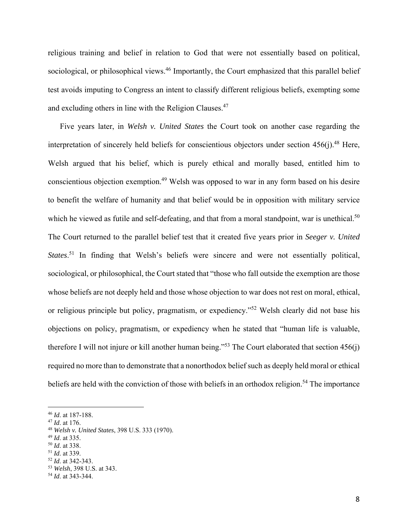religious training and belief in relation to God that were not essentially based on political, sociological, or philosophical views.<sup>46</sup> Importantly, the Court emphasized that this parallel belief test avoids imputing to Congress an intent to classify different religious beliefs, exempting some and excluding others in line with the Religion Clauses.<sup>47</sup>

Five years later, in *Welsh v. United States* the Court took on another case regarding the interpretation of sincerely held beliefs for conscientious objectors under section  $456(i).$ <sup>48</sup> Here, Welsh argued that his belief, which is purely ethical and morally based, entitled him to conscientious objection exemption.<sup>49</sup> Welsh was opposed to war in any form based on his desire to benefit the welfare of humanity and that belief would be in opposition with military service which he viewed as futile and self-defeating, and that from a moral standpoint, war is unethical.<sup>50</sup> The Court returned to the parallel belief test that it created five years prior in *Seeger v. United*  States.<sup>51</sup> In finding that Welsh's beliefs were sincere and were not essentially political, sociological, or philosophical, the Court stated that "those who fall outside the exemption are those whose beliefs are not deeply held and those whose objection to war does not rest on moral, ethical, or religious principle but policy, pragmatism, or expediency."<sup>52</sup> Welsh clearly did not base his objections on policy, pragmatism, or expediency when he stated that "human life is valuable, therefore I will not injure or kill another human being."<sup>53</sup> The Court elaborated that section  $456(i)$ required no more than to demonstrate that a nonorthodox belief such as deeply held moral or ethical beliefs are held with the conviction of those with beliefs in an orthodox religion.<sup>54</sup> The importance

<sup>46</sup> *Id*. at 187-188.

<sup>47</sup> *Id*. at 176.

<sup>48</sup> *Welsh v. United States*, 398 U.S. 333 (1970).

<sup>49</sup> *Id*. at 335.

<sup>50</sup> *Id*. at 338.

<sup>51</sup> *Id*. at 339.

<sup>52</sup> *Id*. at 342-343.

<sup>53</sup> *Welsh*, 398 U.S. at 343.

<sup>54</sup> *Id*. at 343-344.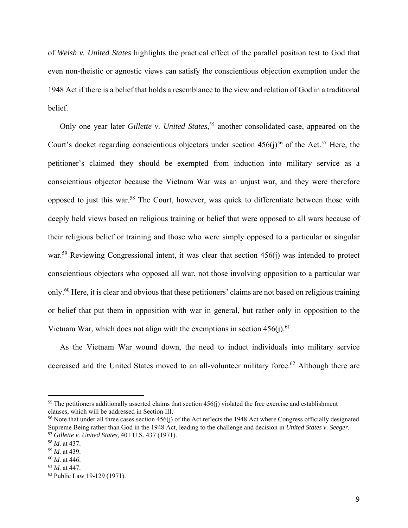of *Welsh v. United States* highlights the practical effect of the parallel position test to God that even non-theistic or agnostic views can satisfy the conscientious objection exemption under the 1948 Act if there is a belief that holds a resemblance to the view and relation of God in a traditional belief.

Only one year later *Gillette v. United States*, 55 another consolidated case, appeared on the Court's docket regarding conscientious objectors under section  $456(i)^{56}$  of the Act.<sup>57</sup> Here, the petitioner's claimed they should be exempted from induction into military service as a conscientious objector because the Vietnam War was an unjust war, and they were therefore opposed to just this war.<sup>58</sup> The Court, however, was quick to differentiate between those with deeply held views based on religious training or belief that were opposed to all wars because of their religious belief or training and those who were simply opposed to a particular or singular war.<sup>59</sup> Reviewing Congressional intent, it was clear that section 456(j) was intended to protect conscientious objectors who opposed all war, not those involving opposition to a particular war only.60 Here, it is clear and obvious that these petitioners' claims are not based on religious training or belief that put them in opposition with war in general, but rather only in opposition to the Vietnam War, which does not align with the exemptions in section  $456(i)$ .<sup>61</sup>

As the Vietnam War wound down, the need to induct individuals into military service decreased and the United States moved to an all-volunteer military force.<sup>62</sup> Although there are

 $55$  The petitioners additionally asserted claims that section 456(j) violated the free exercise and establishment clauses, which will be addressed in Section III.

 $56$  Note that under all three cases section  $456(i)$  of the Act reflects the 1948 Act where Congress officially designated Supreme Being rather than God in the 1948 Act, leading to the challenge and decision in *United States v. Seeger*. <sup>57</sup> *Gillette v. United States*, 401 U.S. 437 (1971).

<sup>58</sup> *Id*. at 437.

<sup>59</sup> *Id*. at 439.

<sup>60</sup> *Id*. at 446.

<sup>61</sup> *Id*. at 447.

<sup>62</sup> Public Law 19-129 (1971).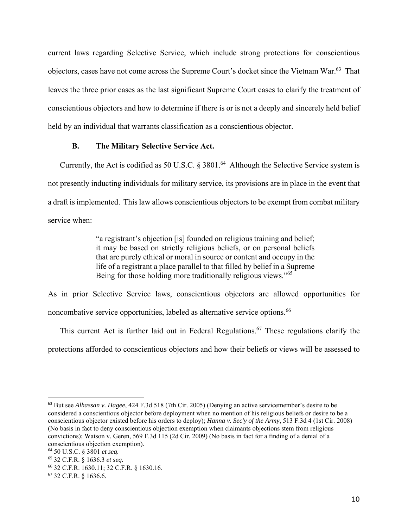current laws regarding Selective Service, which include strong protections for conscientious objectors, cases have not come across the Supreme Court's docket since the Vietnam War.<sup>63</sup> That leaves the three prior cases as the last significant Supreme Court cases to clarify the treatment of conscientious objectors and how to determine if there is or is not a deeply and sincerely held belief held by an individual that warrants classification as a conscientious objector.

## **B. The Military Selective Service Act.**

Currently, the Act is codified as 50 U.S.C.  $\S 3801<sup>64</sup>$  Although the Selective Service system is not presently inducting individuals for military service, its provisions are in place in the event that a draft is implemented. This law allows conscientious objectors to be exempt from combat military service when:

> "a registrant's objection [is] founded on religious training and belief; it may be based on strictly religious beliefs, or on personal beliefs that are purely ethical or moral in source or content and occupy in the life of a registrant a place parallel to that filled by belief in a Supreme Being for those holding more traditionally religious views."<sup>65</sup>

As in prior Selective Service laws, conscientious objectors are allowed opportunities for noncombative service opportunities, labeled as alternative service options.<sup>66</sup>

This current Act is further laid out in Federal Regulations.<sup>67</sup> These regulations clarify the protections afforded to conscientious objectors and how their beliefs or views will be assessed to

<sup>63</sup> But see *Alhassan v. Hagee*, 424 F.3d 518 (7th Cir. 2005) (Denying an active servicemember's desire to be considered a conscientious objector before deployment when no mention of his religious beliefs or desire to be a conscientious objector existed before his orders to deploy); *Hanna v. Sec'y of the Army*, 513 F.3d 4 (1st Cir. 2008) (No basis in fact to deny conscientious objection exemption when claimants objections stem from religious convictions); Watson v. Geren, 569 F.3d 115 (2d Cir. 2009) (No basis in fact for a finding of a denial of a conscientious objection exemption).

<sup>64</sup> 50 U.S.C. § 3801 *et seq.*

<sup>65</sup> 32 C.F.R. § 1636.3 *et seq.*

<sup>66</sup> 32 C.F.R. 1630.11; 32 C.F.R. § 1630.16.

<sup>67</sup> 32 C.F.R. § 1636.6.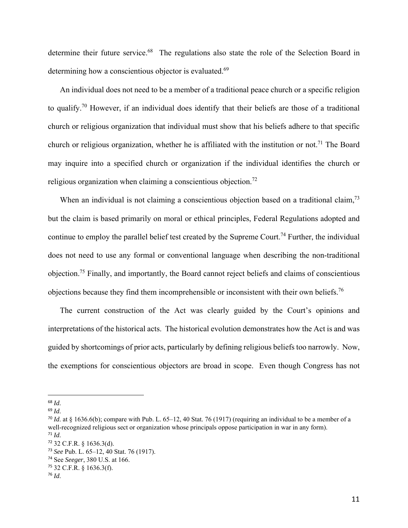determine their future service.<sup>68</sup> The regulations also state the role of the Selection Board in determining how a conscientious objector is evaluated.<sup>69</sup>

An individual does not need to be a member of a traditional peace church or a specific religion to qualify.70 However, if an individual does identify that their beliefs are those of a traditional church or religious organization that individual must show that his beliefs adhere to that specific church or religious organization, whether he is affiliated with the institution or not.<sup>71</sup> The Board may inquire into a specified church or organization if the individual identifies the church or religious organization when claiming a conscientious objection.<sup>72</sup>

When an individual is not claiming a conscientious objection based on a traditional claim.<sup>73</sup> but the claim is based primarily on moral or ethical principles, Federal Regulations adopted and continue to employ the parallel belief test created by the Supreme Court.<sup>74</sup> Further, the individual does not need to use any formal or conventional language when describing the non-traditional objection.75 Finally, and importantly, the Board cannot reject beliefs and claims of conscientious objections because they find them incomprehensible or inconsistent with their own beliefs.76

The current construction of the Act was clearly guided by the Court's opinions and interpretations of the historical acts. The historical evolution demonstrates how the Act is and was guided by shortcomings of prior acts, particularly by defining religious beliefs too narrowly. Now, the exemptions for conscientious objectors are broad in scope. Even though Congress has not

<sup>68</sup> *Id*.

<sup>69</sup> *Id*.

<sup>70</sup> *Id*. at § 1636.6(b); compare with Pub. L. 65–12, 40 Stat. 76 (1917) (requiring an individual to be a member of a well-recognized religious sect or organization whose principals oppose participation in war in any form). <sup>71</sup> *Id*.

<sup>72</sup> 32 C.F.R. § 1636.3(d).

<sup>73</sup> *See* Pub. L. 65–12, 40 Stat. 76 (1917).

<sup>74</sup> See *Seeger*, 380 U.S. at 166.

<sup>75</sup> 32 C.F.R. § 1636.3(f).

<sup>76</sup> *Id*.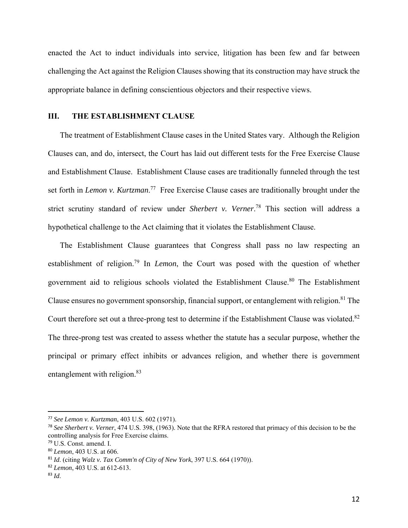enacted the Act to induct individuals into service, litigation has been few and far between challenging the Act against the Religion Clauses showing that its construction may have struck the appropriate balance in defining conscientious objectors and their respective views.

## **III. THE ESTABLISHMENT CLAUSE**

The treatment of Establishment Clause cases in the United States vary. Although the Religion Clauses can, and do, intersect, the Court has laid out different tests for the Free Exercise Clause and Establishment Clause. Establishment Clause cases are traditionally funneled through the test set forth in *Lemon v. Kurtzman*. 77 Free Exercise Clause cases are traditionally brought under the strict scrutiny standard of review under *Sherbert v. Verner*. 78 This section will address a hypothetical challenge to the Act claiming that it violates the Establishment Clause.

The Establishment Clause guarantees that Congress shall pass no law respecting an establishment of religion.79 In *Lemon*, the Court was posed with the question of whether government aid to religious schools violated the Establishment Clause.<sup>80</sup> The Establishment Clause ensures no government sponsorship, financial support, or entanglement with religion.<sup>81</sup> The Court therefore set out a three-prong test to determine if the Establishment Clause was violated.<sup>82</sup> The three-prong test was created to assess whether the statute has a secular purpose, whether the principal or primary effect inhibits or advances religion, and whether there is government entanglement with religion.<sup>83</sup>

<sup>77</sup> *See Lemon v. Kurtzman*, 403 U.S. 602 (1971).

<sup>78</sup> *See Sherbert v. Verner*, 474 U.S. 398, (1963). Note that the RFRA restored that primacy of this decision to be the controlling analysis for Free Exercise claims.

<sup>79</sup> U.S. Const. amend. I.

<sup>80</sup> *Lemon*, 403 U.S. at 606.

<sup>81</sup> *Id*. (citing *Walz v. Tax Comm'n of City of New York*, 397 U.S. 664 (1970)).

<sup>82</sup> *Lemon*, 403 U.S. at 612-613.

<sup>83</sup> *Id*.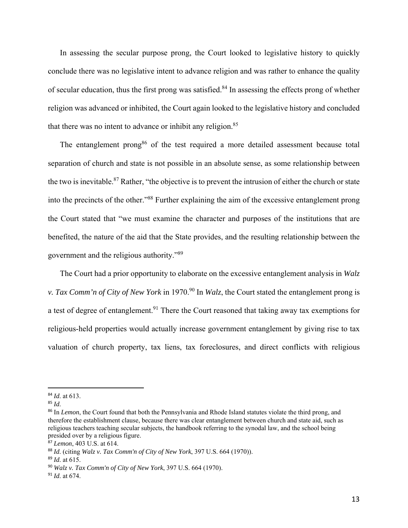In assessing the secular purpose prong, the Court looked to legislative history to quickly conclude there was no legislative intent to advance religion and was rather to enhance the quality of secular education, thus the first prong was satisfied.<sup>84</sup> In assessing the effects prong of whether religion was advanced or inhibited, the Court again looked to the legislative history and concluded that there was no intent to advance or inhibit any religion. $85$ 

The entanglement prong<sup>86</sup> of the test required a more detailed assessment because total separation of church and state is not possible in an absolute sense, as some relationship between the two is inevitable.<sup>87</sup> Rather, "the objective is to prevent the intrusion of either the church or state into the precincts of the other."88 Further explaining the aim of the excessive entanglement prong the Court stated that "we must examine the character and purposes of the institutions that are benefited, the nature of the aid that the State provides, and the resulting relationship between the government and the religious authority."89

The Court had a prior opportunity to elaborate on the excessive entanglement analysis in *Walz v. Tax Comm'n of City of New York* in 1970.<sup>90</sup> In *Walz*, the Court stated the entanglement prong is a test of degree of entanglement.<sup>91</sup> There the Court reasoned that taking away tax exemptions for religious-held properties would actually increase government entanglement by giving rise to tax valuation of church property, tax liens, tax foreclosures, and direct conflicts with religious

<sup>84</sup> *Id*. at 613.

<sup>85</sup> *Id*.

<sup>86</sup> In *Lemon*, the Court found that both the Pennsylvania and Rhode Island statutes violate the third prong, and therefore the establishment clause, because there was clear entanglement between church and state aid, such as religious teachers teaching secular subjects, the handbook referring to the synodal law, and the school being presided over by a religious figure.

<sup>87</sup> *Lemon*, 403 U.S. at 614.

<sup>88</sup> *Id*. (citing *Walz v. Tax Comm'n of City of New York*, 397 U.S. 664 (1970)).

<sup>89</sup> *Id*. at 615.

<sup>90</sup> *Walz v. Tax Comm'n of City of New York*, 397 U.S. 664 (1970).

<sup>91</sup> *Id*. at 674.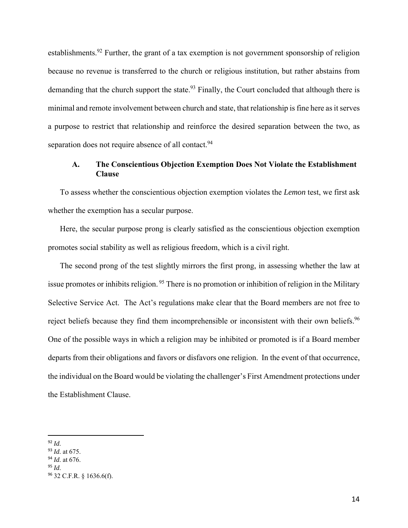establishments.<sup>92</sup> Further, the grant of a tax exemption is not government sponsorship of religion because no revenue is transferred to the church or religious institution, but rather abstains from demanding that the church support the state.<sup>93</sup> Finally, the Court concluded that although there is minimal and remote involvement between church and state, that relationship is fine here as it serves a purpose to restrict that relationship and reinforce the desired separation between the two, as separation does not require absence of all contact.<sup>94</sup>

## **A. The Conscientious Objection Exemption Does Not Violate the Establishment Clause**

To assess whether the conscientious objection exemption violates the *Lemon* test, we first ask whether the exemption has a secular purpose.

Here, the secular purpose prong is clearly satisfied as the conscientious objection exemption promotes social stability as well as religious freedom, which is a civil right.

The second prong of the test slightly mirrors the first prong, in assessing whether the law at issue promotes or inhibits religion. 95 There is no promotion or inhibition of religion in the Military Selective Service Act. The Act's regulations make clear that the Board members are not free to reject beliefs because they find them incomprehensible or inconsistent with their own beliefs.<sup>96</sup> One of the possible ways in which a religion may be inhibited or promoted is if a Board member departs from their obligations and favors or disfavors one religion. In the event of that occurrence, the individual on the Board would be violating the challenger's First Amendment protections under the Establishment Clause.

<sup>92</sup> *Id*.

<sup>93</sup> *Id*. at 675.

<sup>94</sup> *Id*. at 676.

<sup>95</sup> *Id*.

<sup>96</sup> 32 C.F.R. § 1636.6(f).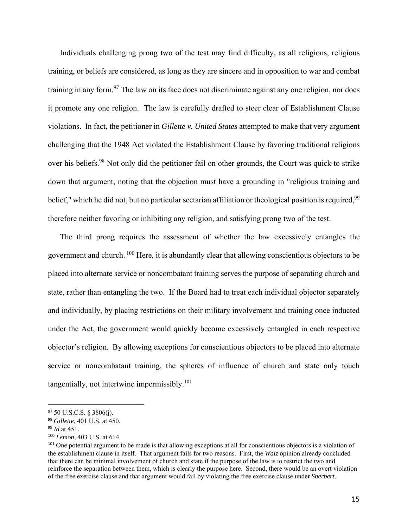Individuals challenging prong two of the test may find difficulty, as all religions, religious training, or beliefs are considered, as long as they are sincere and in opposition to war and combat training in any form.<sup>97</sup> The law on its face does not discriminate against any one religion, nor does it promote any one religion. The law is carefully drafted to steer clear of Establishment Clause violations. In fact, the petitioner in *Gillette v. United States* attempted to make that very argument challenging that the 1948 Act violated the Establishment Clause by favoring traditional religions over his beliefs.98 Not only did the petitioner fail on other grounds, the Court was quick to strike down that argument, noting that the objection must have a grounding in "religious training and belief," which he did not, but no particular sectarian affiliation or theological position is required, <sup>99</sup> therefore neither favoring or inhibiting any religion, and satisfying prong two of the test.

The third prong requires the assessment of whether the law excessively entangles the government and church. 100 Here, it is abundantly clear that allowing conscientious objectors to be placed into alternate service or noncombatant training serves the purpose of separating church and state, rather than entangling the two. If the Board had to treat each individual objector separately and individually, by placing restrictions on their military involvement and training once inducted under the Act, the government would quickly become excessively entangled in each respective objector's religion. By allowing exceptions for conscientious objectors to be placed into alternate service or noncombatant training, the spheres of influence of church and state only touch tangentially, not intertwine impermissibly. $101$ 

<sup>97</sup> 50 U.S.C.S. § 3806(j).

<sup>98</sup> *Gillette*, 401 U.S. at 450.

<sup>99</sup> *Id*.at 451.

<sup>100</sup> *Lemon*, 403 U.S. at 614.

<sup>&</sup>lt;sup>101</sup> One potential argument to be made is that allowing exceptions at all for conscientious objectors is a violation of the establishment clause in itself. That argument fails for two reasons. First, the *Walz* opinion already concluded that there can be minimal involvement of church and state if the purpose of the law is to restrict the two and reinforce the separation between them, which is clearly the purpose here. Second, there would be an overt violation of the free exercise clause and that argument would fail by violating the free exercise clause under *Sherbert*.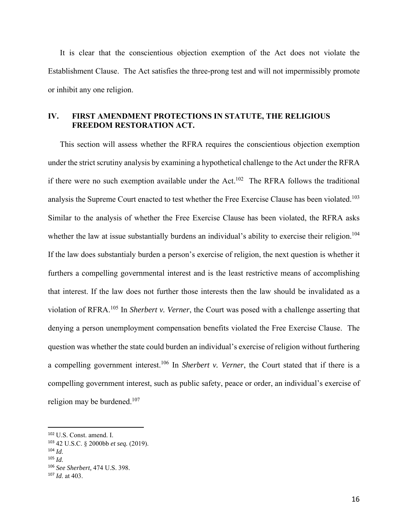It is clear that the conscientious objection exemption of the Act does not violate the Establishment Clause. The Act satisfies the three-prong test and will not impermissibly promote or inhibit any one religion.

## **IV. FIRST AMENDMENT PROTECTIONS IN STATUTE, THE RELIGIOUS FREEDOM RESTORATION ACT.**

This section will assess whether the RFRA requires the conscientious objection exemption under the strict scrutiny analysis by examining a hypothetical challenge to the Act under the RFRA if there were no such exemption available under the Act.<sup>102</sup> The RFRA follows the traditional analysis the Supreme Court enacted to test whether the Free Exercise Clause has been violated.<sup>103</sup> Similar to the analysis of whether the Free Exercise Clause has been violated, the RFRA asks whether the law at issue substantially burdens an individual's ability to exercise their religion.<sup>104</sup> If the law does substantialy burden a person's exercise of religion, the next question is whether it furthers a compelling governmental interest and is the least restrictive means of accomplishing that interest. If the law does not further those interests then the law should be invalidated as a violation of RFRA.105 In *Sherbert v. Verner*, the Court was posed with a challenge asserting that denying a person unemployment compensation benefits violated the Free Exercise Clause. The question was whether the state could burden an individual's exercise of religion without furthering a compelling government interest.106 In *Sherbert v. Verner*, the Court stated that if there is a compelling government interest, such as public safety, peace or order, an individual's exercise of religion may be burdened. $107$ 

<sup>102</sup> U.S. Const. amend. I.

<sup>103</sup> 42 U.S.C. § 2000bb *et seq.* (2019).

<sup>104</sup> *Id*.

 $105$  *Id.* 

<sup>106</sup> *See Sherbert,* 474 U.S. 398.

<sup>107</sup> *Id*. at 403.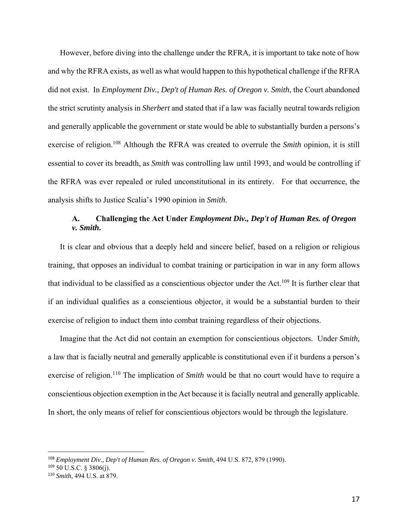However, before diving into the challenge under the RFRA, it is important to take note of how and why the RFRA exists, as well as what would happen to this hypothetical challenge if the RFRA did not exist. In *Employment Div., Dep't of Human Res. of Oregon v. Smith*, the Court abandoned the strict scrutinty analysis in *Sherbert* and stated that if a law was facially neutral towards religion and generally applicable the government or state would be able to substantially burden a persons's exercise of religion.108 Although the RFRA was created to overrule the *Smith* opinion, it is still essential to cover its breadth, as *Smith* was controlling law until 1993, and would be controlling if the RFRA was ever repealed or ruled unconstitutional in its entirety. For that occurrence, the analysis shifts to Justice Scalia's 1990 opinion in *Smith*.

## **A. Challenging the Act Under** *Employment Div., Dep't of Human Res. of Oregon v. Smith***.**

It is clear and obvious that a deeply held and sincere belief, based on a religion or religious training, that opposes an individual to combat training or participation in war in any form allows that individual to be classified as a conscientious objector under the Act.<sup>109</sup> It is further clear that if an individual qualifies as a conscientious objector, it would be a substantial burden to their exercise of religion to induct them into combat training regardless of their objections.

Imagine that the Act did not contain an exemption for conscientious objectors. Under *Smith*, a law that is facially neutral and generally applicable is constitutional even if it burdens a person's exercise of religion.<sup>110</sup> The implication of *Smith* would be that no court would have to require a conscientious objection exemption in the Act because it is facially neutral and generally applicable. In short, the only means of relief for conscientious objectors would be through the legislature.

<sup>108</sup> *Employment Div., Dep't of Human Res. of Oregon v. Smith*, 494 U.S. 872, 879 (1990).

<sup>109</sup> 50 U.S.C. § 3806(j).

<sup>110</sup> *Smith*, 494 U.S. at 879.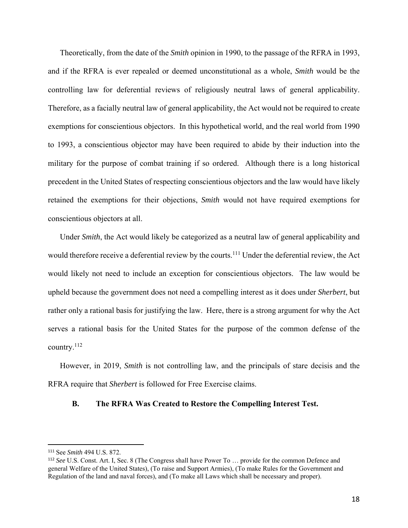Theoretically, from the date of the *Smith* opinion in 1990, to the passage of the RFRA in 1993, and if the RFRA is ever repealed or deemed unconstitutional as a whole, *Smith* would be the controlling law for deferential reviews of religiously neutral laws of general applicability. Therefore, as a facially neutral law of general applicability, the Act would not be required to create exemptions for conscientious objectors. In this hypothetical world, and the real world from 1990 to 1993, a conscientious objector may have been required to abide by their induction into the military for the purpose of combat training if so ordered. Although there is a long historical precedent in the United States of respecting conscientious objectors and the law would have likely retained the exemptions for their objections, *Smith* would not have required exemptions for conscientious objectors at all.

Under *Smith*, the Act would likely be categorized as a neutral law of general applicability and would therefore receive a deferential review by the courts.<sup>111</sup> Under the deferential review, the Act would likely not need to include an exception for conscientious objectors. The law would be upheld because the government does not need a compelling interest as it does under *Sherbert*, but rather only a rational basis for justifying the law. Here, there is a strong argument for why the Act serves a rational basis for the United States for the purpose of the common defense of the country.112

However, in 2019, *Smith* is not controlling law, and the principals of stare decisis and the RFRA require that *Sherbert* is followed for Free Exercise claims.

## **B. The RFRA Was Created to Restore the Compelling Interest Test.**

<sup>111</sup> See *Smith* 494 U.S. 872.

<sup>112</sup> *See* U.S. Const. Art. I, Sec. 8 (The Congress shall have Power To … provide for the common Defence and general Welfare of the United States), (To raise and Support Armies), (To make Rules for the Government and Regulation of the land and naval forces), and (To make all Laws which shall be necessary and proper).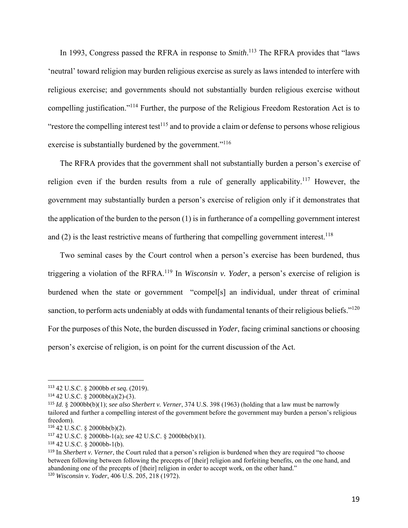In 1993, Congress passed the RFRA in response to *Smith*.<sup>113</sup> The RFRA provides that "laws 'neutral' toward religion may burden religious exercise as surely as laws intended to interfere with religious exercise; and governments should not substantially burden religious exercise without compelling justification."114 Further, the purpose of the Religious Freedom Restoration Act is to "restore the compelling interest test<sup>115</sup> and to provide a claim or defense to persons whose religious exercise is substantially burdened by the government."<sup>116</sup>

The RFRA provides that the government shall not substantially burden a person's exercise of religion even if the burden results from a rule of generally applicability.<sup>117</sup> However, the government may substantially burden a person's exercise of religion only if it demonstrates that the application of the burden to the person (1) is in furtherance of a compelling government interest and  $(2)$  is the least restrictive means of furthering that compelling government interest.<sup>118</sup>

Two seminal cases by the Court control when a person's exercise has been burdened, thus triggering a violation of the RFRA.119 In *Wisconsin v. Yoder*, a person's exercise of religion is burdened when the state or government "compel[s] an individual, under threat of criminal sanction, to perform acts undeniably at odds with fundamental tenants of their religious beliefs."<sup>120</sup> For the purposes of this Note, the burden discussed in *Yoder*, facing criminal sanctions or choosing person's exercise of religion, is on point for the current discussion of the Act.

<sup>118</sup> 42 U.S.C. § 2000bb-1(b).

<sup>113</sup> 42 U.S.C. § 2000bb *et seq.* (2019).

 $114$  42 U.S.C. § 2000bb(a)(2)-(3).

<sup>115</sup> *Id*. § 2000bb(b)(1); *see also Sherbert v. Verner*, 374 U.S. 398 (1963) (holding that a law must be narrowly tailored and further a compelling interest of the government before the government may burden a person's religious freedom).

<sup>116</sup> 42 U.S.C. § 2000bb(b)(2).

<sup>117</sup> 42 U.S.C. § 2000bb-1(a); *see* 42 U.S.C. § 2000bb(b)(1).

<sup>119</sup> In *Sherbert v. Verner*, the Court ruled that a person's religion is burdened when they are required "to choose between following between following the precepts of [their] religion and forfeiting benefits, on the one hand, and abandoning one of the precepts of [their] religion in order to accept work, on the other hand." <sup>120</sup> *Wisconsin v. Yoder*, 406 U.S. 205, 218 (1972).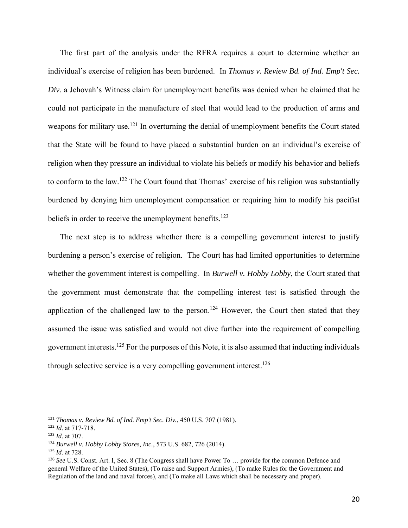The first part of the analysis under the RFRA requires a court to determine whether an individual's exercise of religion has been burdened. In *Thomas v. Review Bd. of Ind. Emp't Sec. Div.* a Jehovah's Witness claim for unemployment benefits was denied when he claimed that he could not participate in the manufacture of steel that would lead to the production of arms and weapons for military use.<sup>121</sup> In overturning the denial of unemployment benefits the Court stated that the State will be found to have placed a substantial burden on an individual's exercise of religion when they pressure an individual to violate his beliefs or modify his behavior and beliefs to conform to the law.122 The Court found that Thomas' exercise of his religion was substantially burdened by denying him unemployment compensation or requiring him to modify his pacifist beliefs in order to receive the unemployment benefits.<sup>123</sup>

The next step is to address whether there is a compelling government interest to justify burdening a person's exercise of religion. The Court has had limited opportunities to determine whether the government interest is compelling. In *Burwell v. Hobby Lobby*, the Court stated that the government must demonstrate that the compelling interest test is satisfied through the application of the challenged law to the person.<sup>124</sup> However, the Court then stated that they assumed the issue was satisfied and would not dive further into the requirement of compelling government interests.125 For the purposes of this Note, it is also assumed that inducting individuals through selective service is a very compelling government interest.<sup>126</sup>

<sup>121</sup> *Thomas v. Review Bd. of Ind. Emp't Sec. Div.*, 450 U.S. 707 (1981).

<sup>122</sup> *Id*. at 717-718.

<sup>123</sup> *Id*. at 707.

<sup>124</sup> *Burwell v. Hobby Lobby Stores, Inc.*, 573 U.S. 682, 726 (2014).

<sup>125</sup> *Id*. at 728.

<sup>126</sup> *See* U.S. Const. Art. I, Sec. 8 (The Congress shall have Power To … provide for the common Defence and general Welfare of the United States), (To raise and Support Armies), (To make Rules for the Government and Regulation of the land and naval forces), and (To make all Laws which shall be necessary and proper).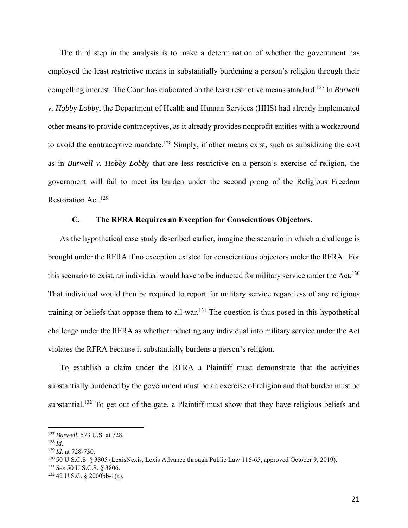The third step in the analysis is to make a determination of whether the government has employed the least restrictive means in substantially burdening a person's religion through their compelling interest. The Court has elaborated on the least restrictive means standard.127 In *Burwell v. Hobby Lobby*, the Department of Health and Human Services (HHS) had already implemented other means to provide contraceptives, as it already provides nonprofit entities with a workaround to avoid the contraceptive mandate.<sup>128</sup> Simply, if other means exist, such as subsidizing the cost as in *Burwell v. Hobby Lobby* that are less restrictive on a person's exercise of religion, the government will fail to meet its burden under the second prong of the Religious Freedom Restoration Act.129

#### **C. The RFRA Requires an Exception for Conscientious Objectors.**

As the hypothetical case study described earlier, imagine the scenario in which a challenge is brought under the RFRA if no exception existed for conscientious objectors under the RFRA. For this scenario to exist, an individual would have to be inducted for military service under the Act.<sup>130</sup> That individual would then be required to report for military service regardless of any religious training or beliefs that oppose them to all war.<sup>131</sup> The question is thus posed in this hypothetical challenge under the RFRA as whether inducting any individual into military service under the Act violates the RFRA because it substantially burdens a person's religion.

To establish a claim under the RFRA a Plaintiff must demonstrate that the activities substantially burdened by the government must be an exercise of religion and that burden must be substantial.<sup>132</sup> To get out of the gate, a Plaintiff must show that they have religious beliefs and

<sup>127</sup> *Burwell*, 573 U.S. at 728.

 $128$  *Id.* 

<sup>129</sup> *Id*. at 728-730.

<sup>130</sup> 50 U.S.C.S. § 3805 (LexisNexis, Lexis Advance through Public Law 116-65, approved October 9, 2019).

<sup>131</sup> *See* 50 U.S.C.S. § 3806.

<sup>132</sup> 42 U.S.C. § 2000bb-1(a).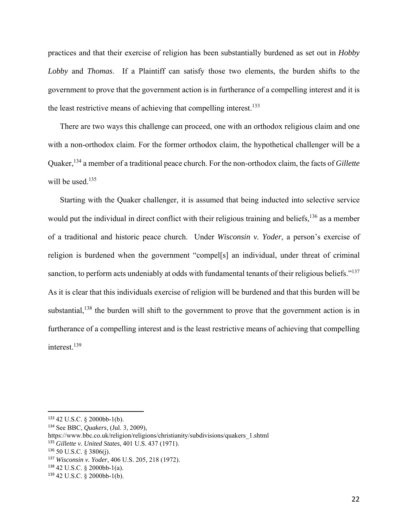practices and that their exercise of religion has been substantially burdened as set out in *Hobby Lobby* and *Thomas*. If a Plaintiff can satisfy those two elements, the burden shifts to the government to prove that the government action is in furtherance of a compelling interest and it is the least restrictive means of achieving that compelling interest.<sup>133</sup>

There are two ways this challenge can proceed, one with an orthodox religious claim and one with a non-orthodox claim. For the former orthodox claim, the hypothetical challenger will be a Quaker,134 a member of a traditional peace church. For the non-orthodox claim, the facts of *Gillette* will be used. $135$ 

Starting with the Quaker challenger, it is assumed that being inducted into selective service would put the individual in direct conflict with their religious training and beliefs,<sup>136</sup> as a member of a traditional and historic peace church. Under *Wisconsin v. Yoder*, a person's exercise of religion is burdened when the government "compel[s] an individual, under threat of criminal sanction, to perform acts undeniably at odds with fundamental tenants of their religious beliefs."<sup>137</sup> As it is clear that this individuals exercise of religion will be burdened and that this burden will be substantial,<sup>138</sup> the burden will shift to the government to prove that the government action is in furtherance of a compelling interest and is the least restrictive means of achieving that compelling interest.<sup>139</sup>

<sup>133</sup> 42 U.S.C. § 2000bb-1(b).

<sup>134</sup> See BBC, *Quakers*, (Jul. 3, 2009),

https://www.bbc.co.uk/religion/religions/christianity/subdivisions/quakers\_1.shtml

<sup>135</sup> *Gillette v. United States*, 401 U.S. 437 (1971).

 $136$  50 U.S.C. § 3806(j).

<sup>137</sup> *Wisconsin v. Yoder*, 406 U.S. 205, 218 (1972).

<sup>138</sup> 42 U.S.C. § 2000bb-1(a).

<sup>139</sup> 42 U.S.C. § 2000bb-1(b).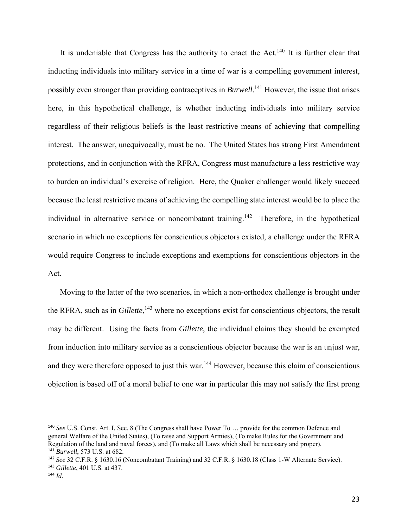It is undeniable that Congress has the authority to enact the Act.<sup>140</sup> It is further clear that inducting individuals into military service in a time of war is a compelling government interest, possibly even stronger than providing contraceptives in *Burwell*. 141 However, the issue that arises here, in this hypothetical challenge, is whether inducting individuals into military service regardless of their religious beliefs is the least restrictive means of achieving that compelling interest. The answer, unequivocally, must be no. The United States has strong First Amendment protections, and in conjunction with the RFRA, Congress must manufacture a less restrictive way to burden an individual's exercise of religion. Here, the Quaker challenger would likely succeed because the least restrictive means of achieving the compelling state interest would be to place the individual in alternative service or noncombatant training.<sup>142</sup> Therefore, in the hypothetical scenario in which no exceptions for conscientious objectors existed, a challenge under the RFRA would require Congress to include exceptions and exemptions for conscientious objectors in the Act.

Moving to the latter of the two scenarios, in which a non-orthodox challenge is brought under the RFRA, such as in *Gillette*, 143 where no exceptions exist for conscientious objectors, the result may be different. Using the facts from *Gillette*, the individual claims they should be exempted from induction into military service as a conscientious objector because the war is an unjust war, and they were therefore opposed to just this war.<sup>144</sup> However, because this claim of conscientious objection is based off of a moral belief to one war in particular this may not satisfy the first prong

<sup>140</sup> *See* U.S. Const. Art. I, Sec. 8 (The Congress shall have Power To … provide for the common Defence and general Welfare of the United States), (To raise and Support Armies), (To make Rules for the Government and Regulation of the land and naval forces), and (To make all Laws which shall be necessary and proper). <sup>141</sup> *Burwell*, 573 U.S. at 682.

<sup>142</sup> *See* 32 C.F.R. § 1630.16 (Noncombatant Training) and 32 C.F.R. § 1630.18 (Class 1-W Alternate Service). <sup>143</sup> *Gillette*, 401 U.S. at 437.

 $144$  *Id.*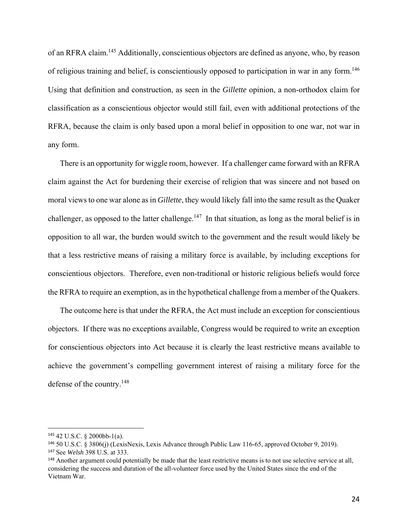of an RFRA claim.145 Additionally, conscientious objectors are defined as anyone, who, by reason of religious training and belief, is conscientiously opposed to participation in war in any form.<sup>146</sup> Using that definition and construction, as seen in the *Gillette* opinion, a non-orthodox claim for classification as a conscientious objector would still fail, even with additional protections of the RFRA, because the claim is only based upon a moral belief in opposition to one war, not war in any form.

There is an opportunity for wiggle room, however. If a challenger came forward with an RFRA claim against the Act for burdening their exercise of religion that was sincere and not based on moral views to one war alone as in *Gillette*, they would likely fall into the same result as the Quaker challenger, as opposed to the latter challenge.<sup>147</sup> In that situation, as long as the moral belief is in opposition to all war, the burden would switch to the government and the result would likely be that a less restrictive means of raising a military force is available, by including exceptions for conscientious objectors. Therefore, even non-traditional or historic religious beliefs would force the RFRA to require an exemption, as in the hypothetical challenge from a member of the Quakers.

The outcome here is that under the RFRA, the Act must include an exception for conscientious objectors. If there was no exceptions available, Congress would be required to write an exception for conscientious objectors into Act because it is clearly the least restrictive means available to achieve the government's compelling government interest of raising a military force for the defense of the country.148

 $145$  42 U.S.C. § 2000bb-1(a).

<sup>146</sup> 50 U.S.C. § 3806(j) (LexisNexis, Lexis Advance through Public Law 116-65, approved October 9, 2019). <sup>147</sup> See *Welsh* 398 U.S. at 333.

<sup>&</sup>lt;sup>148</sup> Another argument could potentially be made that the least restrictive means is to not use selective service at all, considering the success and duration of the all-volunteer force used by the United States since the end of the Vietnam War.